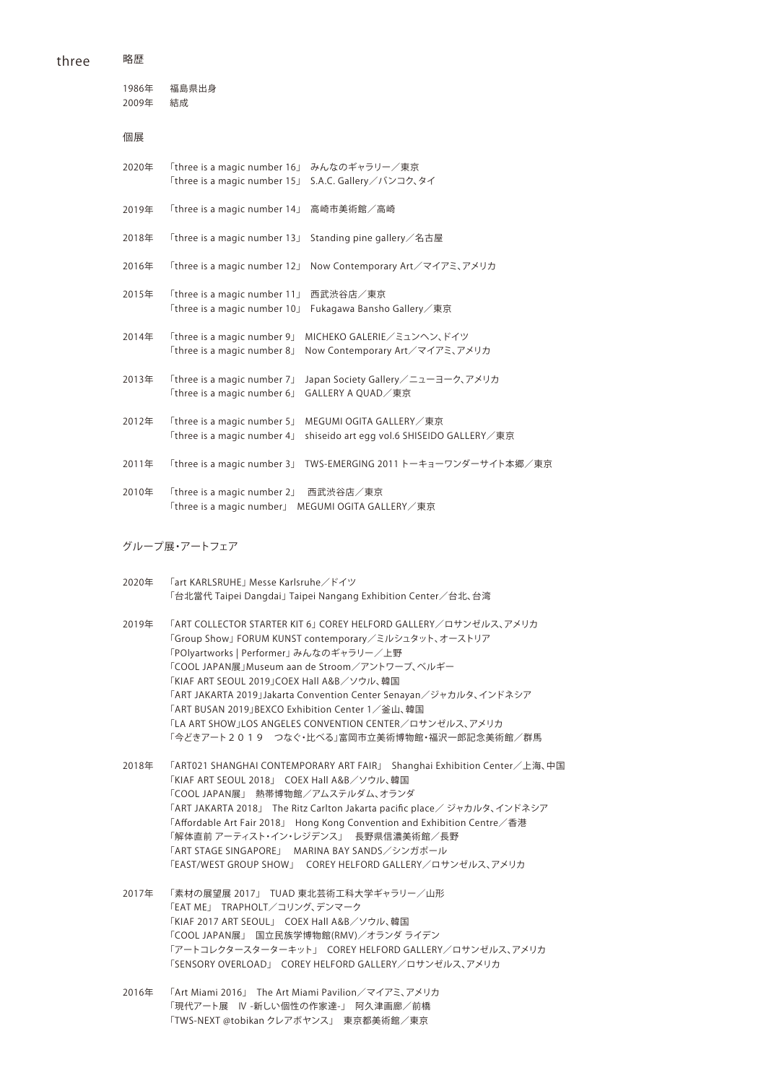2020年 2019年 2018年 2016年 2015年 2014年 2013年 2012年 2011年 2010年 1986年 2009年 「three is a magic number 16」 みんなのギャラリー/東京 「three is a magic number 15」 S.A.C. Gallery/バンコク、タイ 「three is a magic number 14」 高崎市美術館/高崎 「three is a magic number 13」 Standing pine gallery/名古屋 「three is a magic number 12」 Now Contemporary Art/マイアミ、アメリカ 「three is a magic number 11」 西武渋谷店/東京 「three is a magic number 10」 Fukagawa Bansho Gallery/東京 「three is a magic number 9」 MICHEKO GALERIE/ミュンヘン、ドイツ 「three is a magic number 8」 Now Contemporary Art/マイアミ、アメリカ 「three is a magic number 7」 Japan Society Gallery/ニューヨーク、アメリカ 「three is a magic number 6」 GALLERY A QUAD/東京 「three is a magic number 5」 MEGUMI OGITA GALLERY/東京 「three is a magic number 4」 shiseido art egg vol.6 SHISEIDO GALLERY/東京 「three is a magic number 3」 TWS-EMERGING 2011 トーキョーワンダーサイト本郷/東京 「three is a magic number 2」 西武渋谷店/東京 「three is a magic number」 MEGUMI OGITA GALLERY/東京 福島県出身 結成 個展

グループ展・アートフェア

- 2020年 「art KARLSRUHE」 Messe Karlsruhe/ドイツ 「台北當代 Taipei Dangdai」 Taipei Nangang Exhibition Center/台北、台湾
- 2019年 「ART COLLECTOR STARTER KIT 6」 COREY HELFORD GALLERY/ロサンゼルス、アメリカ 「Group Show」 FORUM KUNST contemporary/ミルシュタット、オーストリア 「POlyartworks | Performer」 みんなのギャラリー/上野 「COOL JAPAN展」Museum aan de Stroom/アントワープ、ベルギー 「KIAF ART SEOUL 2019」COEX Hall A&B/ソウル、韓国 「ART JAKARTA 2019」Jakarta Convention Center Senayan/ジャカルタ、インドネシア 「ART BUSAN 2019」BEXCO Exhibition Center 1/釜山、韓国 「LA ART SHOW」LOS ANGELES CONVENTION CENTER/ロサンゼルス、アメリカ 「今どきアート2019 つなぐ・比べる」富岡市立美術博物館・福沢一郎記念美術館/群馬
- 2018年 「ART021 SHANGHAI CONTEMPORARY ART FAIR」 Shanghai Exhibition Center/上海、中国 「KIAF ART SEOUL 2018」 COEX Hall A&B/ソウル、韓国 「COOL JAPAN展」 熱帯博物館/アムステルダム、オランダ 「ART JAKARTA 2018」 The Ritz Carlton Jakarta pacific place/ ジャカルタ、インドネシア 「Affordable Art Fair 2018」 Hong Kong Convention and Exhibition Centre/香港 「解体直前 アーティスト・イン・レジデンス」 長野県信濃美術館/長野 「ART STAGE SINGAPORE」 MARINA BAY SANDS/シンガポール 「EAST/WEST GROUP SHOW」 COREY HELFORD GALLERY/ロサンゼルス、アメリカ
- 2017年 「素材の展望展 2017」 TUAD 東北芸術工科大学ギャラリー/山形 「EAT ME」 TRAPHOLT/コリング、デンマーク 「KIAF 2017 ART SEOUL」 COEX Hall A&B/ソウル、韓国 「COOL JAPAN展」 国立民族学博物館(RMV)/オランダ ライデン 「アートコレクタースターターキット」 COREY HELFORD GALLERY/ロサンゼルス、アメリカ 「SENSORY OVERLOAD」 COREY HELFORD GALLERY/ロサンゼルス、アメリカ
- 2016年 「Art Miami 2016」 The Art Miami Pavilion/マイアミ、アメリカ 「現代アート展 IV -新しい個性の作家達-」 阿久津画廊/前橋 「TWS-NEXT @tobikan クレアボヤンス」 東京都美術館/東京

three

略歴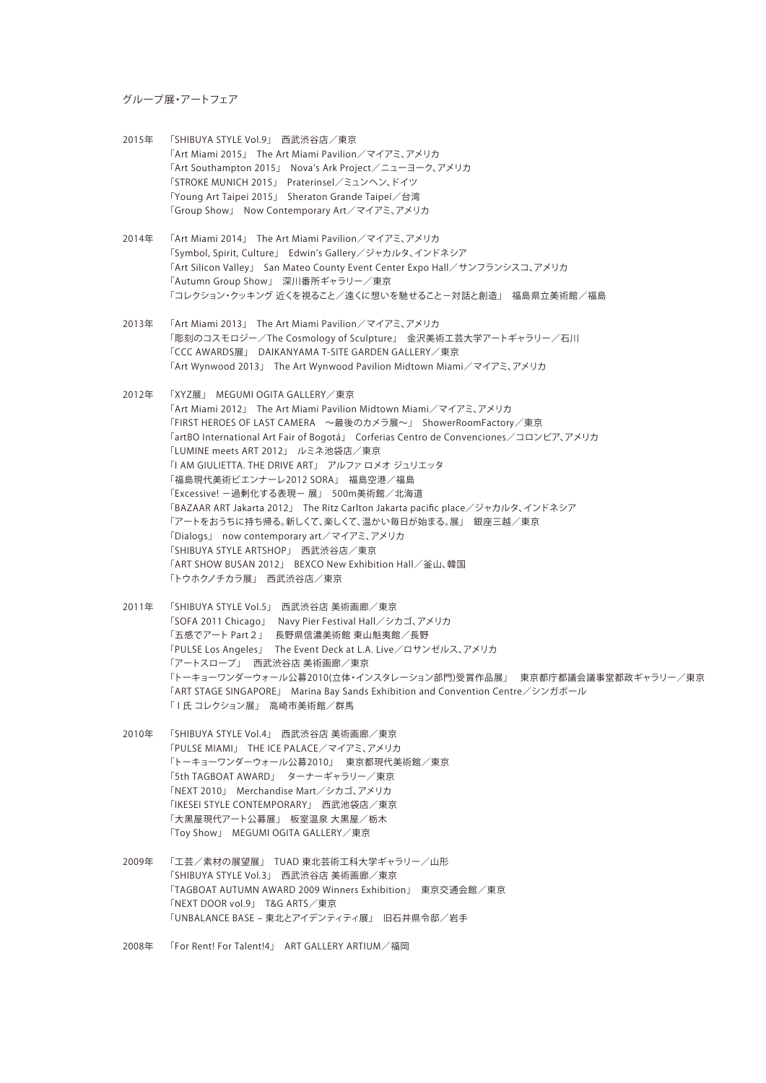#### グループ展・アートフェア

- 2015年 「SHIBUYA STYLE Vol.9」 西武渋谷店/東京 「Art Miami 2015」 The Art Miami Pavilion/マイアミ、アメリカ 「Art Southampton 2015」 Nova's Ark Project/ニューヨーク、アメリカ 「STROKE MUNICH 2015」 Praterinsel/ミュンヘン、ドイツ 「Young Art Taipei 2015」 Sheraton Grande Taipei/台湾 「Group Show」 Now Contemporary Art/マイアミ、アメリカ
- 2014年 「Art Miami 2014」 The Art Miami Pavilion/マイアミ、アメリカ 「Symbol, Spirit, Culture」 Edwin's Gallery/ジャカルタ、インドネシア 「Art Silicon Valley」 San Mateo County Event Center Expo Hall/サンフランシスコ、アメリカ 「Autumn Group Show」 深川番所ギャラリー/東京 「コレクション・クッキング 近くを視ること/遠くに想いを馳せること-対話と創造」 福島県立美術館/福島
- 2013年 「Art Miami 2013」 The Art Miami Pavilion/マイアミ、アメリカ 「彫刻のコスモロジー/The Cosmology of Sculpture」 金沢美術工芸大学アートギャラリー/石川 「CCC AWARDS展」 DAIKANYAMA T-SITE GARDEN GALLERY/東京 「Art Wynwood 2013」 The Art Wynwood Pavilion Midtown Miami/マイアミ、アメリカ
- 2012年 「XYZ展」 MEGUMI OGITA GALLERY/東京 「Art Miami 2012」 The Art Miami Pavilion Midtown Miami/マイアミ、アメリカ 「FIRST HEROES OF LAST CAMERA ~最後のカメラ展~」 ShowerRoomFactory/東京 「artBO International Art Fair of Bogotá」 Corferias Centro de Convenciones/コロンビア、アメリカ 「LUMINE meets ART 2012」 ルミネ池袋店/東京 「I AM GIULIETTA. THE DRIVE ART」 アルファ ロメオ ジュリエッタ 「福島現代美術ビエンナーレ2012 SORA」 福島空港/福島 「Excessive! -過剰化する表現- 展」 500m美術館/北海道 「BAZAAR ART Jakarta 2012」 The Ritz Carlton Jakarta pacific place/ジャカルタ、インドネシア 「アートをおうちに持ち帰る。新しくて、楽しくて、温かい毎日が始まる。展」 銀座三越/東京 「Dialogs」 now contemporary art/マイアミ、アメリカ 「SHIBUYA STYLE ARTSHOP」 西武渋谷店/東京 「ART SHOW BUSAN 2012」 BEXCO New Exhibition Hall/釜山、韓国 「トウホクノチカラ展」 西武渋谷店/東京
- 2011年 「SHIBUYA STYLE Vol.5」 西武渋谷店 美術画廊/東京 「SOFA 2011 Chicago」 Navy Pier Festival Hall/シカゴ、アメリカ 「五感でアート Part2」 長野県信濃美術館 東山魁夷館/長野 「PULSE Los Angeles」 The Event Deck at L.A. Live/ロサンゼルス、アメリカ 「アートスロープ」 西武渋谷店 美術画廊/東京 「トーキョーワンダーウォール公募2010(立体・インスタレーション部門)受賞作品展」 東京都庁都議会議事堂都政ギャラリー/東京 「ART STAGE SINGAPORE」 Marina Bay Sands Exhibition and Convention Centre/シンガポール 「I氏 コレクション展」 高崎市美術館/群馬
- 2010年 「SHIBUYA STYLE Vol.4」 西武渋谷店 美術画廊/東京 「PULSE MIAMI」 THE ICE PALACE/マイアミ、アメリカ 「トーキョーワンダーウォール公募2010」 東京都現代美術館/東京 「5th TAGBOAT AWARD」 ターナーギャラリー/東京 「NEXT 2010」 Merchandise Mart/シカゴ、アメリカ 「IKESEI STYLE CONTEMPORARY」 西武池袋店/東京 「大黒屋現代アート公募展」 板室温泉 大黒屋/栃木 「Toy Show」 MEGUMI OGITA GALLERY/東京
- 2009年 「工芸/素材の展望展」 TUAD 東北芸術工科大学ギャラリー/山形 「SHIBUYA STYLE Vol.3」 西武渋谷店 美術画廊/東京 「TAGBOAT AUTUMN AWARD 2009 Winners Exhibition」 東京交通会館/東京 「NEXT DOOR vol.9」 T&G ARTS/東京 「UNBALANCE BASE - 東北とアイデンティティ展」 旧石井県令邸/岩手
- 2008年 「For Rent! For Talent!4」 ART GALLERY ARTIUM/福岡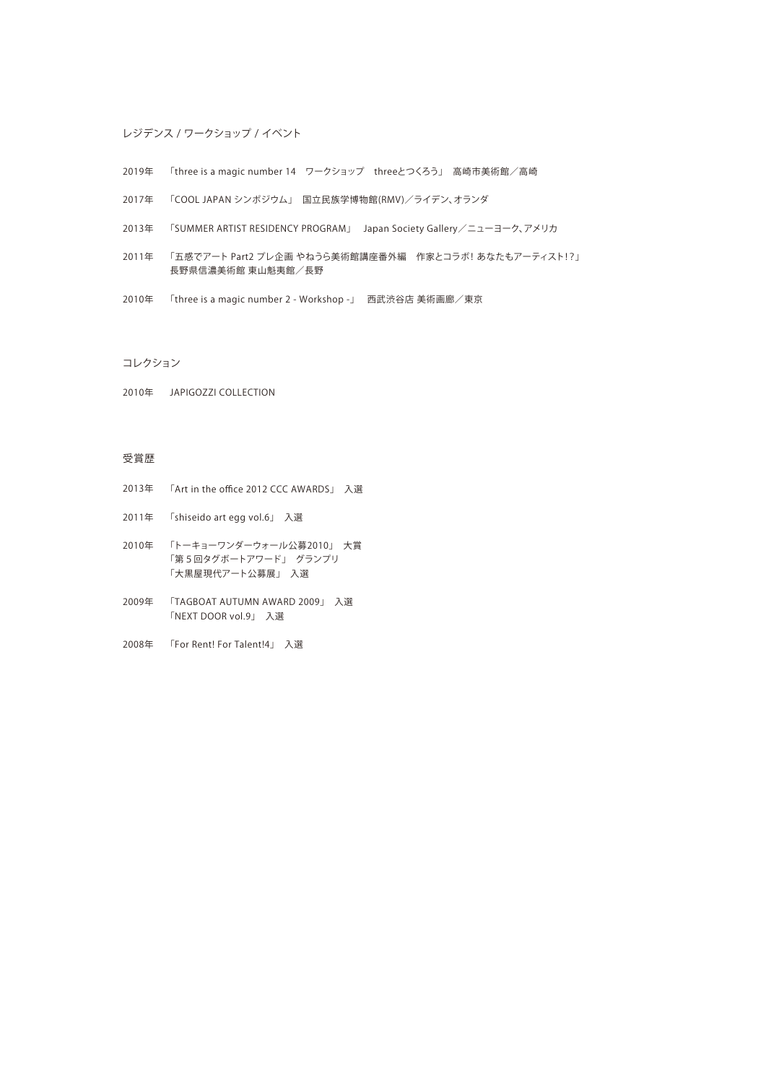## レジデンス / ワークショップ / イベント

- 2019年 「three is a magic number 14 ワークショップ threeとつくろう」 高崎市美術館/高崎
- 2017年 「COOL JAPAN シンポジウム」 国立民族学博物館(RMV)/ライデン、オランダ
- 2013年 「SUMMER ARTIST RESIDENCY PROGRAM」 Japan Society Gallery/ニューヨーク、アメリカ
- 2011年 「五感でアート Part2 プレ企画 やねうら美術館講座番外編 作家とコラボ! あなたもアーティスト!?」 長野県信濃美術館 東山魁夷館/長野
- 2010年 「three is a magic number 2 Workshop -」 西武渋谷店 美術画廊/東京

コレクション

2010年 JAPIGOZZI COLLECTION

#### 受賞歴

- 2013年 「Art in the office 2012 CCC AWARDS」 入選
- 2011年 「shiseido art egg vol.6」 入選
- 2010年 「トーキョーワンダーウォール公募2010」 大賞 「第5回タグボートアワード」 グランプリ 「大黒屋現代アート公募展」 入選
- 2009年 「TAGBOAT AUTUMN AWARD 2009」 入選 「NEXT DOOR vol.9」 入選
- 2008年 「For Rent! For Talent!4」 入選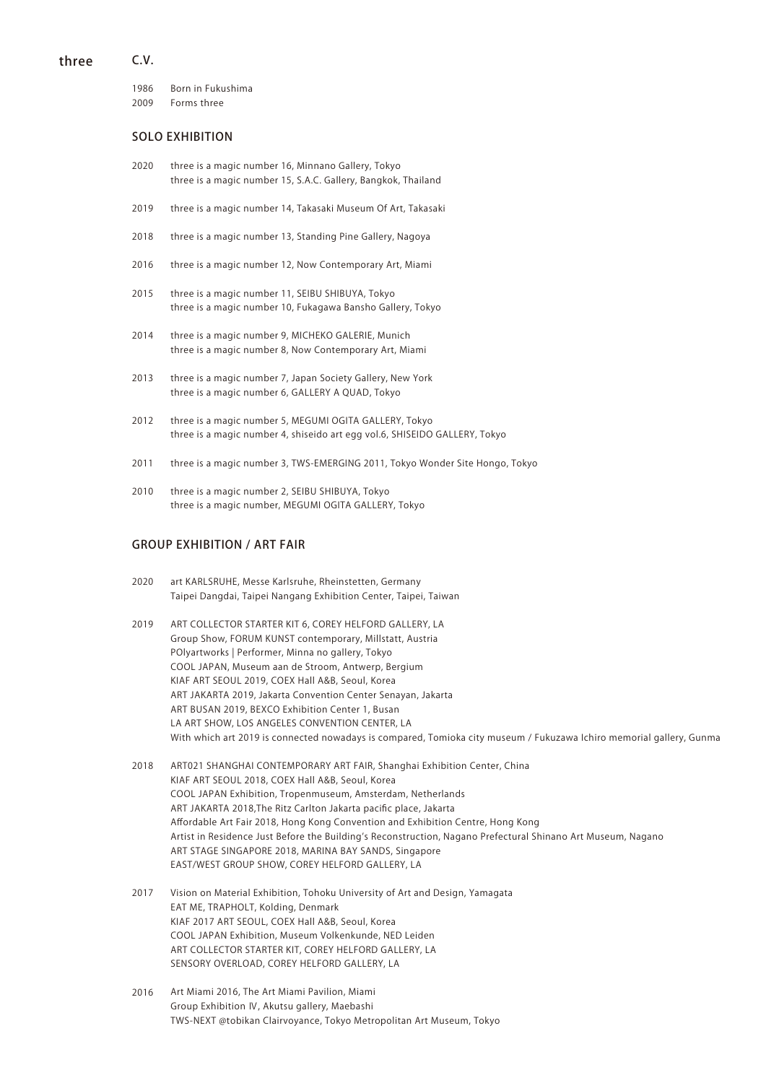#### C.V. three

1986 2009 Born in Fukushima Forms three

# SOLO EXHIBITION

- 2020 three is a magic number 16, Minnano Gallery, Tokyo three is a magic number 15, S.A.C. Gallery, Bangkok, Thailand
- 2019 three is a magic number 14, Takasaki Museum Of Art, Takasaki
- 2018 three is a magic number 13, Standing Pine Gallery, Nagoya
- 2016 three is a magic number 12, Now Contemporary Art, Miami
- 2015 three is a magic number 11, SEIBU SHIBUYA, Tokyo three is a magic number 10, Fukagawa Bansho Gallery, Tokyo
- 2014 three is a magic number 9, MICHEKO GALERIE, Munich three is a magic number 8, Now Contemporary Art, Miami
- 2013 three is a magic number 7, Japan Society Gallery, New York three is a magic number 6, GALLERY A QUAD, Tokyo
- 2012 three is a magic number 5, MEGUMI OGITA GALLERY, Tokyo three is a magic number 4, shiseido art egg vol.6, SHISEIDO GALLERY, Tokyo
- 2011 three is a magic number 3, TWS-EMERGING 2011, Tokyo Wonder Site Hongo, Tokyo
- 2010 three is a magic number 2, SEIBU SHIBUYA, Tokyo three is a magic number, MEGUMI OGITA GALLERY, Tokyo

## GROUP EXHIBITION / ART FAIR

- art KARLSRUHE, Messe Karlsruhe, Rheinstetten, Germany Taipei Dangdai, Taipei Nangang Exhibition Center, Taipei, Taiwan 2020
- ART COLLECTOR STARTER KIT 6, COREY HELFORD GALLERY, LA Group Show, FORUM KUNST contemporary, Millstatt, Austria POlyartworks | Performer, Minna no gallery, Tokyo COOL JAPAN, Museum aan de Stroom, Antwerp, Bergium KIAF ART SEOUL 2019, COEX Hall A&B, Seoul, Korea ART JAKARTA 2019, Jakarta Convention Center Senayan, Jakarta ART BUSAN 2019, BEXCO Exhibition Center 1, Busan LA ART SHOW, LOS ANGELES CONVENTION CENTER, LA With which art 2019 is connected nowadays is compared, Tomioka city museum / Fukuzawa Ichiro memorial gallery, Gunma 2019
- ART021 SHANGHAI CONTEMPORARY ART FAIR, Shanghai Exhibition Center, China KIAF ART SEOUL 2018, COEX Hall A&B, Seoul, Korea COOL JAPAN Exhibition, Tropenmuseum, Amsterdam, Netherlands ART JAKARTA 2018,The Ritz Carlton Jakarta pacific place, Jakarta Affordable Art Fair 2018, Hong Kong Convention and Exhibition Centre, Hong Kong Artist in Residence Just Before the Building's Reconstruction, Nagano Prefectural Shinano Art Museum, Nagano ART STAGE SINGAPORE 2018, MARINA BAY SANDS, Singapore EAST/WEST GROUP SHOW, COREY HELFORD GALLERY, LA 2018
- Vision on Material Exhibition, Tohoku University of Art and Design, Yamagata EAT ME, TRAPHOLT, Kolding, Denmark KIAF 2017 ART SEOUL, COEX Hall A&B, Seoul, Korea COOL JAPAN Exhibition, Museum Volkenkunde, NED Leiden ART COLLECTOR STARTER KIT, COREY HELFORD GALLERY, LA SENSORY OVERLOAD, COREY HELFORD GALLERY, LA 2017
- Art Miami 2016, The Art Miami Pavilion, Miami Group Exhibition Ⅳ, Akutsu gallery, Maebashi TWS-NEXT @tobikan Clairvoyance, Tokyo Metropolitan Art Museum, Tokyo 2016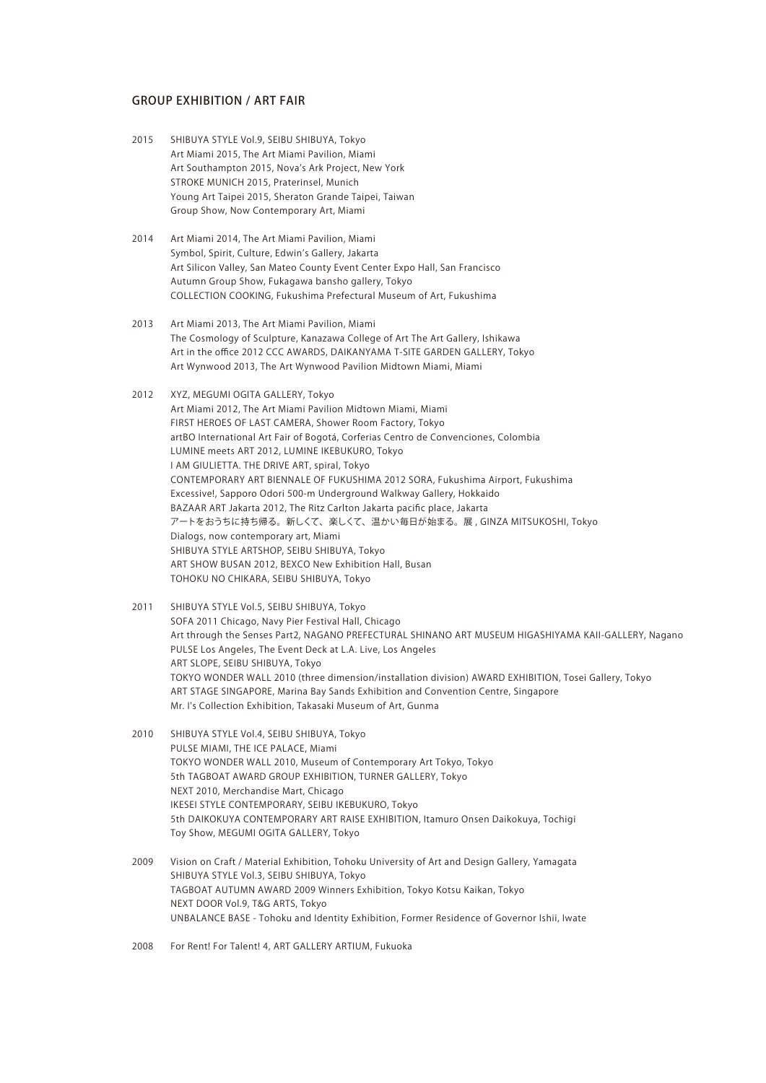## GROUP EXHIBITION / ART FAIR

- SHIBUYA STYLE Vol.9, SEIBU SHIBUYA, Tokyo Art Miami 2015, The Art Miami Pavilion, Miami Art Southampton 2015, Nova's Ark Project, New York STROKE MUNICH 2015, Praterinsel, Munich Young Art Taipei 2015, Sheraton Grande Taipei, Taiwan Group Show, Now Contemporary Art, Miami 2015
- Art Miami 2014, The Art Miami Pavilion, Miami Symbol, Spirit, Culture, Edwin's Gallery, Jakarta Art Silicon Valley, San Mateo County Event Center Expo Hall, San Francisco Autumn Group Show, Fukagawa bansho gallery, Tokyo COLLECTION COOKING, Fukushima Prefectural Museum of Art, Fukushima 2014
- Art Miami 2013, The Art Miami Pavilion, Miami The Cosmology of Sculpture, Kanazawa College of Art The Art Gallery, Ishikawa Art in the office 2012 CCC AWARDS, DAIKANYAMA T-SITE GARDEN GALLERY, Tokyo Art Wynwood 2013, The Art Wynwood Pavilion Midtown Miami, Miami 2013
- XYZ, MEGUMI OGITA GALLERY, Tokyo 2012 Art Miami 2012, The Art Miami Pavilion Midtown Miami, Miami FIRST HEROES OF LAST CAMERA, Shower Room Factory, Tokyo artBO International Art Fair of Bogotá, Corferias Centro de Convenciones, Colombia LUMINE meets ART 2012, LUMINE IKEBUKURO, Tokyo I AM GIULIETTA. THE DRIVE ART, spiral, Tokyo CONTEMPORARY ART BIENNALE OF FUKUSHIMA 2012 SORA, Fukushima Airport, Fukushima Excessive!, Sapporo Odori 500-m Underground Walkway Gallery, Hokkaido BAZAAR ART Jakarta 2012, The Ritz Carlton Jakarta pacific place, Jakarta アートをおうちに持ち帰る。新しくて、楽しくて、温かい毎日が始まる。展 , GINZA MITSUKOSHI, Tokyo Dialogs, now contemporary art, Miami SHIBUYA STYLE ARTSHOP, SEIBU SHIBUYA, Tokyo ART SHOW BUSAN 2012, BEXCO New Exhibition Hall, Busan TOHOKU NO CHIKARA, SEIBU SHIBUYA, Tokyo
- SHIBUYA STYLE Vol.5, SEIBU SHIBUYA, Tokyo SOFA 2011 Chicago, Navy Pier Festival Hall, Chicago Art through the Senses Part2, NAGANO PREFECTURAL SHINANO ART MUSEUM HIGASHIYAMA KAII-GALLERY, Nagano PULSE Los Angeles, The Event Deck at L.A. Live, Los Angeles ART SLOPE, SEIBU SHIBUYA, Tokyo TOKYO WONDER WALL 2010 (three dimension/installation division) AWARD EXHIBITION, Tosei Gallery, Tokyo ART STAGE SINGAPORE, Marina Bay Sands Exhibition and Convention Centre, Singapore Mr. I's Collection Exhibition, Takasaki Museum of Art, Gunma 2011
- SHIBUYA STYLE Vol.4, SEIBU SHIBUYA, Tokyo PULSE MIAMI, THE ICE PALACE, Miami TOKYO WONDER WALL 2010, Museum of Contemporary Art Tokyo, Tokyo 5th TAGBOAT AWARD GROUP EXHIBITION, TURNER GALLERY, Tokyo NEXT 2010, Merchandise Mart, Chicago IKESEI STYLE CONTEMPORARY, SEIBU IKEBUKURO, Tokyo 5th DAIKOKUYA CONTEMPORARY ART RAISE EXHIBITION, Itamuro Onsen Daikokuya, Tochigi Toy Show, MEGUMI OGITA GALLERY, Tokyo 2010
- Vision on Craft / Material Exhibition, Tohoku University of Art and Design Gallery, Yamagata SHIBUYA STYLE Vol.3, SEIBU SHIBUYA, Tokyo TAGBOAT AUTUMN AWARD 2009 Winners Exhibition, Tokyo Kotsu Kaikan, Tokyo NEXT DOOR Vol.9, T&G ARTS, Tokyo UNBALANCE BASE - Tohoku and Identity Exhibition, Former Residence of Governor Ishii, Iwate 2009
- For Rent! For Talent! 4, ART GALLERY ARTIUM, Fukuoka 2008